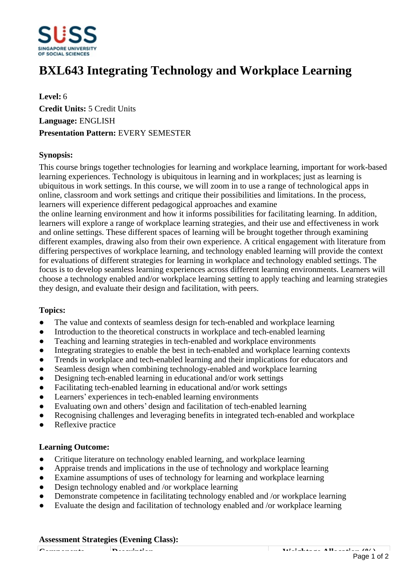

# **BXL643 Integrating Technology and Workplace Learning**

**Level:** 6 **Credit Units:** 5 Credit Units **Language:** ENGLISH **Presentation Pattern:** EVERY SEMESTER

## **Synopsis:**

This course brings together technologies for learning and workplace learning, important for work-based learning experiences. Technology is ubiquitous in learning and in workplaces; just as learning is ubiquitous in work settings. In this course, we will zoom in to use a range of technological apps in online, classroom and work settings and critique their possibilities and limitations. In the process, learners will experience different pedagogical approaches and examine

the online learning environment and how it informs possibilities for facilitating learning. In addition, learners will explore a range of workplace learning strategies, and their use and effectiveness in work and online settings. These different spaces of learning will be brought together through examining different examples, drawing also from their own experience. A critical engagement with literature from differing perspectives of workplace learning, and technology enabled learning will provide the context for evaluations of different strategies for learning in workplace and technology enabled settings. The focus is to develop seamless learning experiences across different learning environments. Learners will choose a technology enabled and/or workplace learning setting to apply teaching and learning strategies they design, and evaluate their design and facilitation, with peers.

### **Topics:**

- The value and contexts of seamless design for tech-enabled and workplace learning
- Introduction to the theoretical constructs in workplace and tech-enabled learning
- Teaching and learning strategies in tech-enabled and workplace environments
- Integrating strategies to enable the best in tech-enabled and workplace learning contexts
- Trends in workplace and tech-enabled learning and their implications for educators and
- Seamless design when combining technology-enabled and workplace learning
- Designing tech-enabled learning in educational and/or work settings
- Facilitating tech-enabled learning in educational and/or work settings
- Learners' experiences in tech-enabled learning environments
- Evaluating own and others' design and facilitation of tech-enabled learning
- Recognising challenges and leveraging benefits in integrated tech-enabled and workplace
- Reflexive practice

### **Learning Outcome:**

- Critique literature on technology enabled learning, and workplace learning
- Appraise trends and implications in the use of technology and workplace learning
- Examine assumptions of uses of technology for learning and workplace learning
- Design technology enabled and /or workplace learning
- Demonstrate competence in facilitating technology enabled and /or workplace learning
- Evaluate the design and facilitation of technology enabled and /or workplace learning

#### **Assessment Strategies (Evening Class):**

**Components Description Weightage Allocation (%)** Page 1 of 2